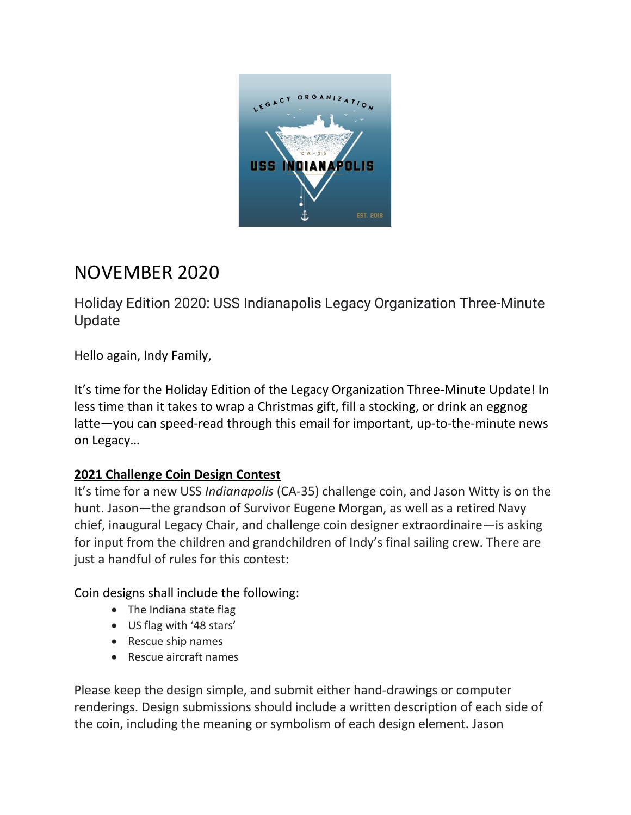

# NOVEMBER 2020

Holiday Edition 2020: USS Indianapolis Legacy Organization Three-Minute Update

Hello again, Indy Family,

It's time for the Holiday Edition of the Legacy Organization Three-Minute Update! In less time than it takes to wrap a Christmas gift, fill a stocking, or drink an eggnog latte—you can speed-read through this email for important, up-to-the-minute news on Legacy…

# **2021 Challenge Coin Design Contest**

It's time for a new USS *Indianapolis* (CA-35) challenge coin, and Jason Witty is on the hunt. Jason—the grandson of Survivor Eugene Morgan, as well as a retired Navy chief, inaugural Legacy Chair, and challenge coin designer extraordinaire—is asking for input from the children and grandchildren of Indy's final sailing crew. There are just a handful of rules for this contest:

Coin designs shall include the following:

- The Indiana state flag
- US flag with '48 stars'
- Rescue ship names
- Rescue aircraft names

Please keep the design simple, and submit either hand-drawings or computer renderings. Design submissions should include a written description of each side of the coin, including the meaning or symbolism of each design element. Jason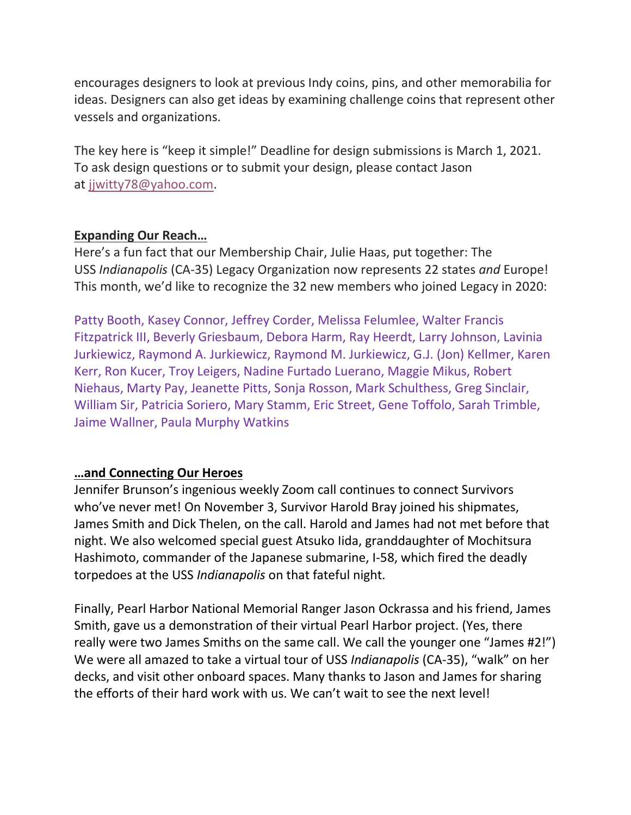encourages designers to look at previous Indy coins, pins, and other memorabilia for ideas. Designers can also get ideas by examining challenge coins that represent other vessels and organizations.

The key here is "keep it simple!" Deadline for design submissions is March 1, 2021. To ask design questions or to submit your design, please contact Jason at [jjwitty78@yahoo.com.](mailto:jjwitty78@yahoo.com)

## **Expanding Our Reach…**

Here's a fun fact that our Membership Chair, Julie Haas, put together: The USS *Indianapolis* (CA-35) Legacy Organization now represents 22 states *and* Europe! This month, we'd like to recognize the 32 new members who joined Legacy in 2020:

Patty Booth, Kasey Connor, Jeffrey Corder, Melissa Felumlee, Walter Francis Fitzpatrick III, Beverly Griesbaum, Debora Harm, Ray Heerdt, Larry Johnson, Lavinia Jurkiewicz, Raymond A. Jurkiewicz, Raymond M. Jurkiewicz, G.J. (Jon) Kellmer, Karen Kerr, Ron Kucer, Troy Leigers, Nadine Furtado Luerano, Maggie Mikus, Robert Niehaus, Marty Pay, Jeanette Pitts, Sonja Rosson, Mark Schulthess, Greg Sinclair, William Sir, Patricia Soriero, Mary Stamm, Eric Street, Gene Toffolo, Sarah Trimble, Jaime Wallner, Paula Murphy Watkins

## **…and Connecting Our Heroes**

Jennifer Brunson's ingenious weekly Zoom call continues to connect Survivors who've never met! On November 3, Survivor Harold Bray joined his shipmates, James Smith and Dick Thelen, on the call. Harold and James had not met before that night. We also welcomed special guest Atsuko Iida, granddaughter of Mochitsura Hashimoto, commander of the Japanese submarine, I-58, which fired the deadly torpedoes at the USS *Indianapolis* on that fateful night.

Finally, Pearl Harbor National Memorial Ranger Jason Ockrassa and his friend, James Smith, gave us a demonstration of their virtual Pearl Harbor project. (Yes, there really were two James Smiths on the same call. We call the younger one "James #2!") We were all amazed to take a virtual tour of USS *Indianapolis* (CA-35), "walk" on her decks, and visit other onboard spaces. Many thanks to Jason and James for sharing the efforts of their hard work with us. We can't wait to see the next level!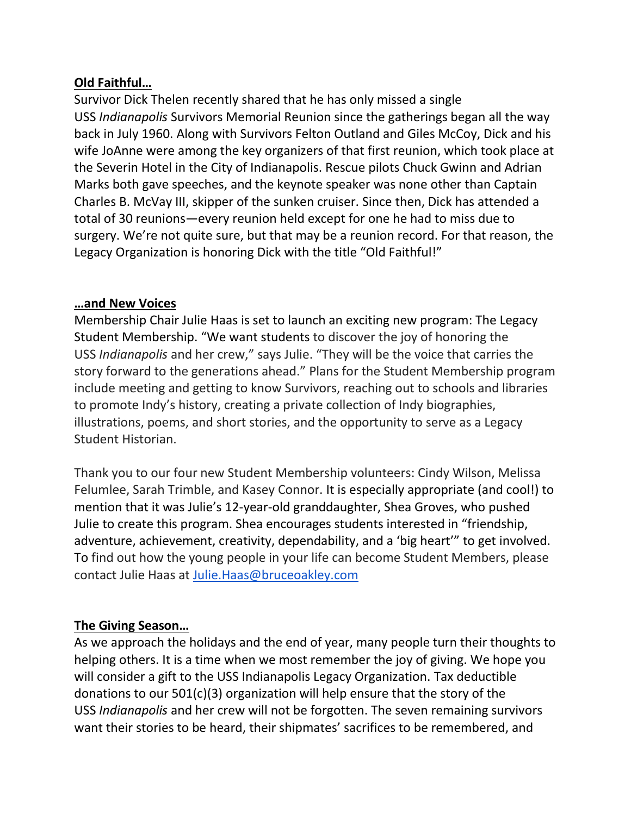## **Old Faithful…**

Survivor Dick Thelen recently shared that he has only missed a single USS *Indianapolis* Survivors Memorial Reunion since the gatherings began all the way back in July 1960. Along with Survivors Felton Outland and Giles McCoy, Dick and his wife JoAnne were among the key organizers of that first reunion, which took place at the Severin Hotel in the City of Indianapolis. Rescue pilots Chuck Gwinn and Adrian Marks both gave speeches, and the keynote speaker was none other than Captain Charles B. McVay III, skipper of the sunken cruiser. Since then, Dick has attended a total of 30 reunions—every reunion held except for one he had to miss due to surgery. We're not quite sure, but that may be a reunion record. For that reason, the Legacy Organization is honoring Dick with the title "Old Faithful!"

#### **…and New Voices**

Membership Chair Julie Haas is set to launch an exciting new program: The Legacy Student Membership. "We want students to discover the joy of honoring the USS *Indianapolis* and her crew," says Julie. "They will be the voice that carries the story forward to the generations ahead." Plans for the Student Membership program include meeting and getting to know Survivors, reaching out to schools and libraries to promote Indy's history, creating a private collection of Indy biographies, illustrations, poems, and short stories, and the opportunity to serve as a Legacy Student Historian.

Thank you to our four new Student Membership volunteers: Cindy Wilson, Melissa Felumlee, Sarah Trimble, and Kasey Connor. It is especially appropriate (and cool!) to mention that it was Julie's 12-year-old granddaughter, Shea Groves, who pushed Julie to create this program. Shea encourages students interested in "friendship, adventure, achievement, creativity, dependability, and a 'big heart'" to get involved. To find out how the young people in your life can become Student Members, please contact Julie Haas at [Julie.Haas@bruceoakley.com](mailto:Julie.Haas@bruceoakley.com)

#### **The Giving Season…**

As we approach the holidays and the end of year, many people turn their thoughts to helping others. It is a time when we most remember the joy of giving. We hope you will consider a gift to the USS Indianapolis Legacy Organization. Tax deductible donations to our 501(c)(3) organization will help ensure that the story of the USS *Indianapolis* and her crew will not be forgotten. The seven remaining survivors want their stories to be heard, their shipmates' sacrifices to be remembered, and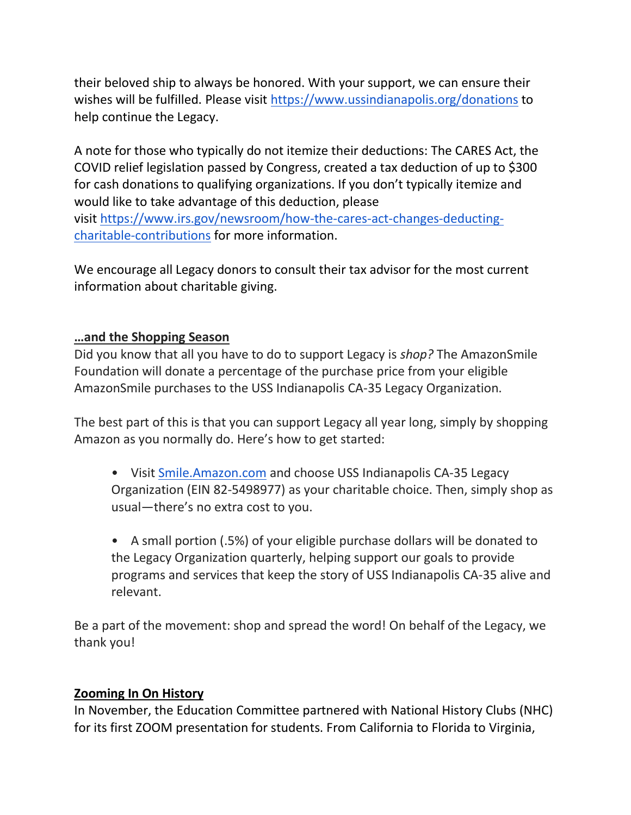their beloved ship to always be honored. With your support, we can ensure their wishes will be fulfilled. Please visit <https://www.ussindianapolis.org/donations> to help continue the Legacy.

A note for those who typically do not itemize their deductions: The CARES Act, the COVID relief legislation passed by Congress, created a tax deduction of up to \$300 for cash donations to qualifying organizations. If you don't typically itemize and would like to take advantage of this deduction, please visit [https://www.irs.gov/newsroom/how-the-cares-act-changes-deducting-](https://www.irs.gov/newsroom/how-the-cares-act-changes-deducting-charitable-contributions)

[charitable-contributions](https://www.irs.gov/newsroom/how-the-cares-act-changes-deducting-charitable-contributions) for more information.

We encourage all Legacy donors to consult their tax advisor for the most current information about charitable giving.

## **…and the Shopping Season**

Did you know that all you have to do to support Legacy is *shop?* The AmazonSmile Foundation will donate a percentage of the purchase price from your eligible AmazonSmile purchases to the USS Indianapolis CA-35 Legacy Organization.

The best part of this is that you can support Legacy all year long, simply by shopping Amazon as you normally do. Here's how to get started:

• Visit [Smile.Amazon.com](http://smile.amazon.com/) and choose USS Indianapolis CA-35 Legacy Organization (EIN 82-5498977) as your charitable choice. Then, simply shop as usual—there's no extra cost to you.

• A small portion (.5%) of your eligible purchase dollars will be donated to the Legacy Organization quarterly, helping support our goals to provide programs and services that keep the story of USS Indianapolis CA-35 alive and relevant.

Be a part of the movement: shop and spread the word! On behalf of the Legacy, we thank you!

## **Zooming In On History**

In November, the Education Committee partnered with National History Clubs (NHC) for its first ZOOM presentation for students. From California to Florida to Virginia,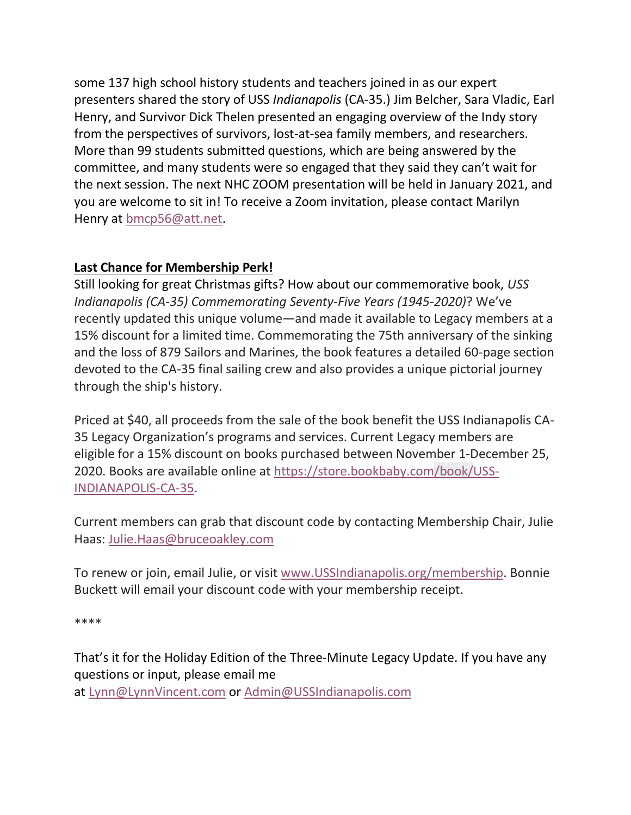some 137 high school history students and teachers joined in as our expert presenters shared the story of USS *Indianapolis* (CA-35.) Jim Belcher, Sara Vladic, Earl Henry, and Survivor Dick Thelen presented an engaging overview of the Indy story from the perspectives of survivors, lost-at-sea family members, and researchers. More than 99 students submitted questions, which are being answered by the committee, and many students were so engaged that they said they can't wait for the next session. The next NHC ZOOM presentation will be held in January 2021, and you are welcome to sit in! To receive a Zoom invitation, please contact Marilyn Henry at [bmcp56@att.net.](mailto:bmcp56@att.net)

# **Last Chance for Membership Perk!**

Still looking for great Christmas gifts? How about our commemorative book, *USS Indianapolis (CA-35) Commemorating Seventy-Five Years (1945-2020)*? We've recently updated this unique volume—and made it available to Legacy members at a 15% discount for a limited time. Commemorating the 75th anniversary of the sinking and the loss of 879 Sailors and Marines, the book features a detailed 60-page section devoted to the CA-35 final sailing crew and also provides a unique pictorial journey through the ship's history.

Priced at \$40, all proceeds from the sale of the book benefit the USS Indianapolis CA-35 Legacy Organization's programs and services. Current Legacy members are eligible for a 15% discount on books purchased between November 1-December 25, 2020. Books are available online at [https://store.bookbaby.com/book/USS-](https://store.bookbaby.com/book/USS-INDIANAPOLIS-CA-35)[INDIANAPOLIS-CA-35.](https://store.bookbaby.com/book/USS-INDIANAPOLIS-CA-35)

Current members can grab that discount code by contacting Membership Chair, Julie Haas: [Julie.Haas@bruceoakley.com](mailto:Julie.Haas@bruceoakley.com)

To renew or join, email Julie, or visit [www.USSIndianapolis.org/membership.](http://www.ussindianapolis.org/membership) Bonnie Buckett will email your discount code with your membership receipt.

\*\*\*\*

That's it for the Holiday Edition of the Three-Minute Legacy Update. If you have any questions or input, please email me at [Lynn@LynnVincent.com](mailto:Lynn@LynnVincent.com) or [Admin@USSIndianapolis.com](mailto:Admin@USSIndianapolis.com)